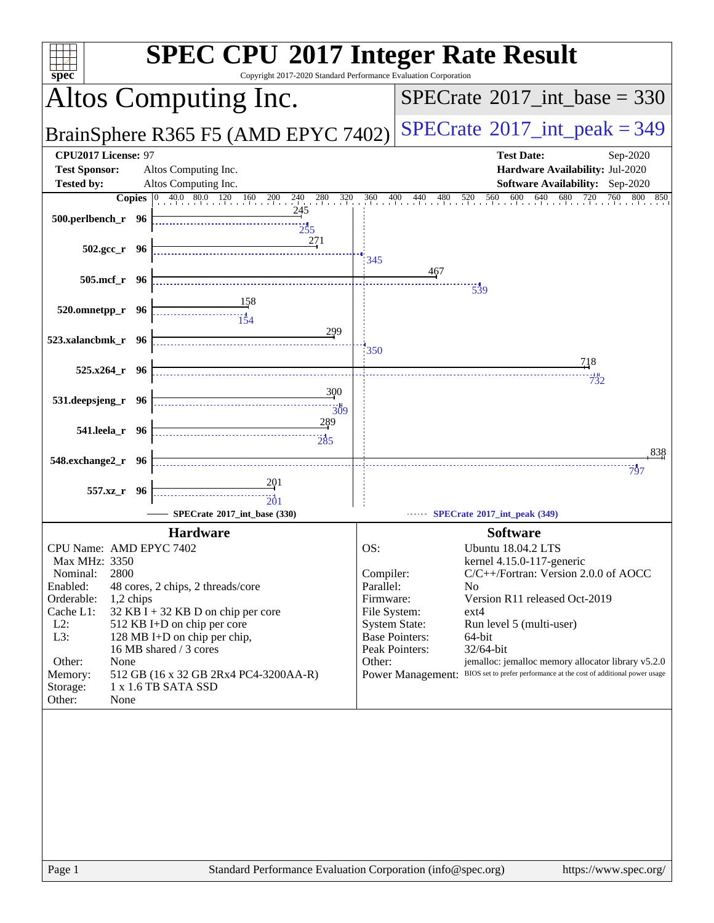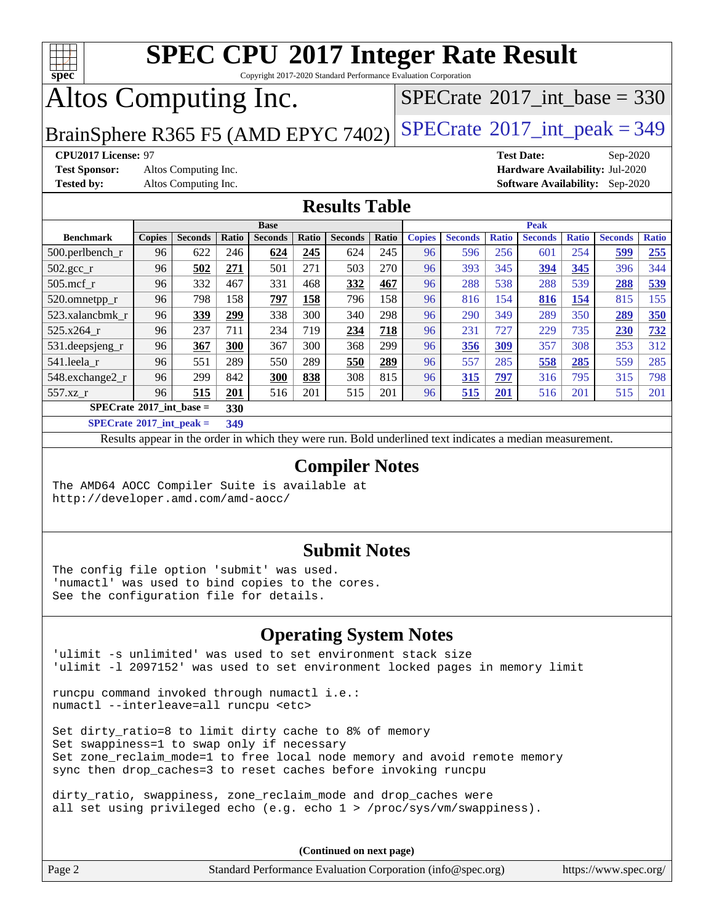

Copyright 2017-2020 Standard Performance Evaluation Corporation

# Altos Computing Inc.

 $SPECTate@2017_int\_base = 330$ 

BrainSphere R365 F5 (AMD EPYC 7402) [SPECrate](http://www.spec.org/auto/cpu2017/Docs/result-fields.html#SPECrate2017intpeak)<sup>®</sup>[2017\\_int\\_peak = 3](http://www.spec.org/auto/cpu2017/Docs/result-fields.html#SPECrate2017intpeak)49

**[Test Sponsor:](http://www.spec.org/auto/cpu2017/Docs/result-fields.html#TestSponsor)** Altos Computing Inc. **[Hardware Availability:](http://www.spec.org/auto/cpu2017/Docs/result-fields.html#HardwareAvailability)** Jul-2020

**[CPU2017 License:](http://www.spec.org/auto/cpu2017/Docs/result-fields.html#CPU2017License)** 97 **[Test Date:](http://www.spec.org/auto/cpu2017/Docs/result-fields.html#TestDate)** Sep-2020 **[Tested by:](http://www.spec.org/auto/cpu2017/Docs/result-fields.html#Testedby)** Altos Computing Inc. **[Software Availability:](http://www.spec.org/auto/cpu2017/Docs/result-fields.html#SoftwareAvailability)** Sep-2020

### **[Results Table](http://www.spec.org/auto/cpu2017/Docs/result-fields.html#ResultsTable)**

|                                   | <b>Base</b>   |                |       |                | <b>Peak</b> |                |       |               |                |              |                |              |                |              |
|-----------------------------------|---------------|----------------|-------|----------------|-------------|----------------|-------|---------------|----------------|--------------|----------------|--------------|----------------|--------------|
| <b>Benchmark</b>                  | <b>Copies</b> | <b>Seconds</b> | Ratio | <b>Seconds</b> | Ratio       | <b>Seconds</b> | Ratio | <b>Copies</b> | <b>Seconds</b> | <b>Ratio</b> | <b>Seconds</b> | <b>Ratio</b> | <b>Seconds</b> | <b>Ratio</b> |
| 500.perlbench_r                   | 96            | 622            | 246   | 624            | 245         | 624            | 245   | 96            | 596            | 256          | 601            | 254          | 599            | 255          |
| 502.gcc_r                         | 96            | 502            | 271   | 501            | 271         | 503            | 270   | 96            | 393            | 345          | 394            | 345          | 396            | 344          |
| $505$ .mcf r                      | 96            | 332            | 467   | 331            | 468         | 332            | 467   | 96            | 288            | 538          | 288            | 539          | 288            | 539          |
| 520.omnetpp_r                     | 96            | 798            | 158   | 797            | 158         | 796            | 158   | 96            | 816            | 154          | 816            | 154          | 815            | 155          |
| 523.xalancbmk r                   | 96            | 339            | 299   | 338            | 300         | 340            | 298   | 96            | 290            | 349          | 289            | 350          | 289            | 350          |
| 525.x264 r                        | 96            | 237            | 711   | 234            | 719         | 234            | 718   | 96            | 231            | 727          | 229            | 735          | 230            | 732          |
| 531.deepsjeng_r                   | 96            | 367            | 300   | 367            | 300         | 368            | 299   | 96            | 356            | 309          | 357            | 308          | 353            | 312          |
| 541.leela r                       | 96            | 551            | 289   | 550            | 289         | 550            | 289   | 96            | 557            | 285          | 558            | 285          | 559            | 285          |
| 548.exchange2_r                   | 96            | 299            | 842   | 300            | 838         | 308            | 815   | 96            | 315            | 797          | 316            | 795          | 315            | 798          |
| 557.xz r                          | 96            | 515            | 201   | 516            | 201         | 515            | 201   | 96            | 515            | 201          | 516            | 201          | 515            | 201          |
| $SPECrate^{\circ}2017$ int base = |               |                | 330   |                |             |                |       |               |                |              |                |              |                |              |
| _____                             |               |                |       |                |             |                |       |               |                |              |                |              |                |              |

**[SPECrate](http://www.spec.org/auto/cpu2017/Docs/result-fields.html#SPECrate2017intpeak)[2017\\_int\\_peak =](http://www.spec.org/auto/cpu2017/Docs/result-fields.html#SPECrate2017intpeak) 349**

Results appear in the [order in which they were run](http://www.spec.org/auto/cpu2017/Docs/result-fields.html#RunOrder). Bold underlined text [indicates a median measurement](http://www.spec.org/auto/cpu2017/Docs/result-fields.html#Median).

#### **[Compiler Notes](http://www.spec.org/auto/cpu2017/Docs/result-fields.html#CompilerNotes)**

The AMD64 AOCC Compiler Suite is available at <http://developer.amd.com/amd-aocc/>

### **[Submit Notes](http://www.spec.org/auto/cpu2017/Docs/result-fields.html#SubmitNotes)**

The config file option 'submit' was used. 'numactl' was used to bind copies to the cores. See the configuration file for details.

### **[Operating System Notes](http://www.spec.org/auto/cpu2017/Docs/result-fields.html#OperatingSystemNotes)**

'ulimit -s unlimited' was used to set environment stack size 'ulimit -l 2097152' was used to set environment locked pages in memory limit

runcpu command invoked through numactl i.e.: numactl --interleave=all runcpu <etc>

Set dirty\_ratio=8 to limit dirty cache to 8% of memory Set swappiness=1 to swap only if necessary Set zone\_reclaim\_mode=1 to free local node memory and avoid remote memory sync then drop\_caches=3 to reset caches before invoking runcpu

dirty\_ratio, swappiness, zone\_reclaim\_mode and drop\_caches were all set using privileged echo (e.g. echo 1 > /proc/sys/vm/swappiness).

**(Continued on next page)**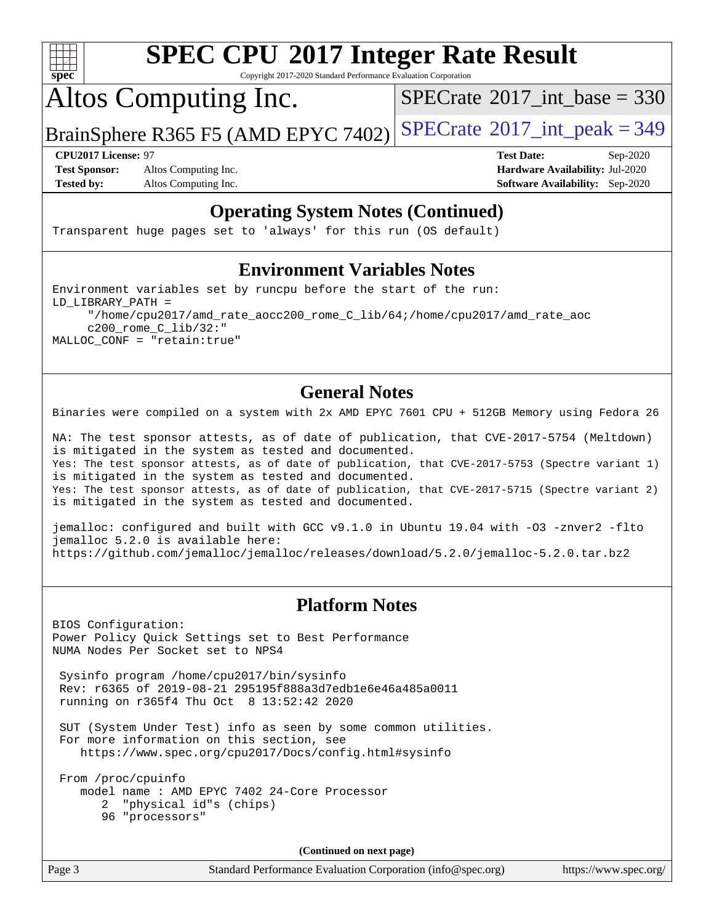

Copyright 2017-2020 Standard Performance Evaluation Corporation

Altos Computing Inc.

 $SPECTate@2017_int\_base = 330$ 

BrainSphere R365 F5 (AMD EPYC 7402) [SPECrate](http://www.spec.org/auto/cpu2017/Docs/result-fields.html#SPECrate2017intpeak)®[2017\\_int\\_peak = 3](http://www.spec.org/auto/cpu2017/Docs/result-fields.html#SPECrate2017intpeak)49

**[Test Sponsor:](http://www.spec.org/auto/cpu2017/Docs/result-fields.html#TestSponsor)** Altos Computing Inc. **[Hardware Availability:](http://www.spec.org/auto/cpu2017/Docs/result-fields.html#HardwareAvailability)** Jul-2020 **[Tested by:](http://www.spec.org/auto/cpu2017/Docs/result-fields.html#Testedby)** Altos Computing Inc. **[Software Availability:](http://www.spec.org/auto/cpu2017/Docs/result-fields.html#SoftwareAvailability)** Sep-2020

**[CPU2017 License:](http://www.spec.org/auto/cpu2017/Docs/result-fields.html#CPU2017License)** 97 **[Test Date:](http://www.spec.org/auto/cpu2017/Docs/result-fields.html#TestDate)** Sep-2020

### **[Operating System Notes \(Continued\)](http://www.spec.org/auto/cpu2017/Docs/result-fields.html#OperatingSystemNotes)**

Transparent huge pages set to 'always' for this run (OS default)

#### **[Environment Variables Notes](http://www.spec.org/auto/cpu2017/Docs/result-fields.html#EnvironmentVariablesNotes)**

Environment variables set by runcpu before the start of the run: LD\_LIBRARY\_PATH = "/home/cpu2017/amd\_rate\_aocc200\_rome\_C\_lib/64;/home/cpu2017/amd\_rate\_aoc c200\_rome\_C\_lib/32:" MALLOC\_CONF = "retain:true"

### **[General Notes](http://www.spec.org/auto/cpu2017/Docs/result-fields.html#GeneralNotes)**

Binaries were compiled on a system with 2x AMD EPYC 7601 CPU + 512GB Memory using Fedora 26

NA: The test sponsor attests, as of date of publication, that CVE-2017-5754 (Meltdown) is mitigated in the system as tested and documented. Yes: The test sponsor attests, as of date of publication, that CVE-2017-5753 (Spectre variant 1) is mitigated in the system as tested and documented. Yes: The test sponsor attests, as of date of publication, that CVE-2017-5715 (Spectre variant 2) is mitigated in the system as tested and documented.

jemalloc: configured and built with GCC v9.1.0 in Ubuntu 19.04 with -O3 -znver2 -flto jemalloc 5.2.0 is available here: <https://github.com/jemalloc/jemalloc/releases/download/5.2.0/jemalloc-5.2.0.tar.bz2>

### **[Platform Notes](http://www.spec.org/auto/cpu2017/Docs/result-fields.html#PlatformNotes)**

BIOS Configuration: Power Policy Quick Settings set to Best Performance NUMA Nodes Per Socket set to NPS4

 Sysinfo program /home/cpu2017/bin/sysinfo Rev: r6365 of 2019-08-21 295195f888a3d7edb1e6e46a485a0011 running on r365f4 Thu Oct 8 13:52:42 2020

 SUT (System Under Test) info as seen by some common utilities. For more information on this section, see <https://www.spec.org/cpu2017/Docs/config.html#sysinfo>

 From /proc/cpuinfo model name : AMD EPYC 7402 24-Core Processor 2 "physical id"s (chips) 96 "processors"

**(Continued on next page)**

Page 3 Standard Performance Evaluation Corporation [\(info@spec.org\)](mailto:info@spec.org) <https://www.spec.org/>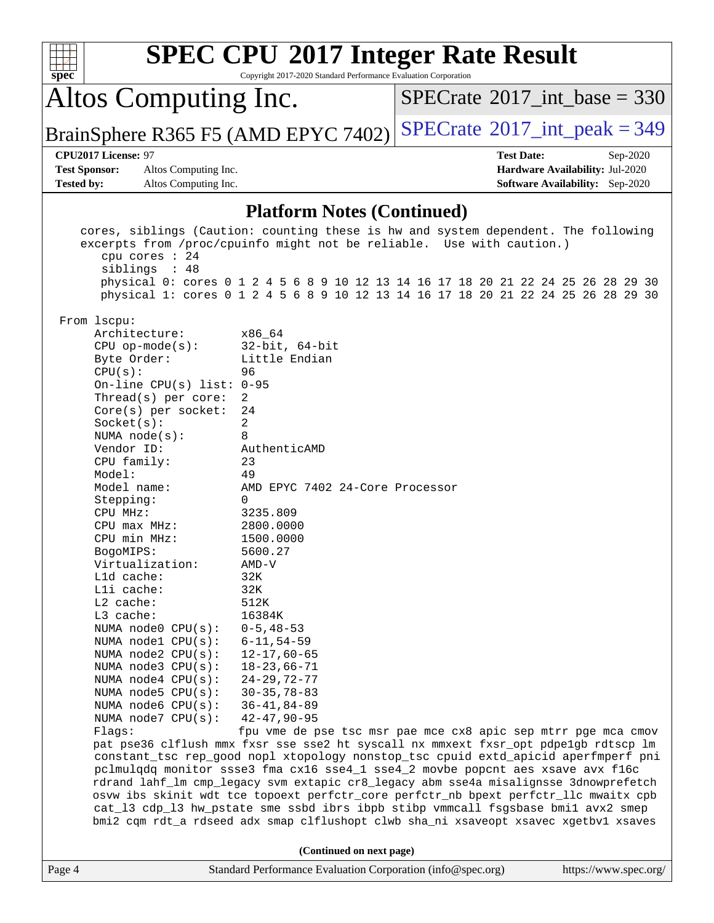| spec <sup>®</sup>                                                                                                                                                                                                                                                                                                                                                                                                                                                                                                                                                                           | <b>SPEC CPU®2017 Integer Rate Result</b><br>Copyright 2017-2020 Standard Performance Evaluation Corporation                                                                                                                                                                                                                                                                                                                                                                                                                                                                                                                                                               |                   |                                             |  |  |  |
|---------------------------------------------------------------------------------------------------------------------------------------------------------------------------------------------------------------------------------------------------------------------------------------------------------------------------------------------------------------------------------------------------------------------------------------------------------------------------------------------------------------------------------------------------------------------------------------------|---------------------------------------------------------------------------------------------------------------------------------------------------------------------------------------------------------------------------------------------------------------------------------------------------------------------------------------------------------------------------------------------------------------------------------------------------------------------------------------------------------------------------------------------------------------------------------------------------------------------------------------------------------------------------|-------------------|---------------------------------------------|--|--|--|
| Altos Computing Inc.                                                                                                                                                                                                                                                                                                                                                                                                                                                                                                                                                                        |                                                                                                                                                                                                                                                                                                                                                                                                                                                                                                                                                                                                                                                                           |                   | $SPECTate$ <sup>®</sup> 2017_int_base = 330 |  |  |  |
|                                                                                                                                                                                                                                                                                                                                                                                                                                                                                                                                                                                             | BrainSphere R365 F5 (AMD EPYC 7402)                                                                                                                                                                                                                                                                                                                                                                                                                                                                                                                                                                                                                                       |                   | $SPECTate$ <sup>®</sup> 2017_int_peak = 349 |  |  |  |
| CPU2017 License: 97                                                                                                                                                                                                                                                                                                                                                                                                                                                                                                                                                                         |                                                                                                                                                                                                                                                                                                                                                                                                                                                                                                                                                                                                                                                                           | <b>Test Date:</b> | Sep-2020                                    |  |  |  |
| <b>Test Sponsor:</b><br>Altos Computing Inc.                                                                                                                                                                                                                                                                                                                                                                                                                                                                                                                                                |                                                                                                                                                                                                                                                                                                                                                                                                                                                                                                                                                                                                                                                                           |                   | Hardware Availability: Jul-2020             |  |  |  |
| <b>Tested by:</b><br>Altos Computing Inc.                                                                                                                                                                                                                                                                                                                                                                                                                                                                                                                                                   |                                                                                                                                                                                                                                                                                                                                                                                                                                                                                                                                                                                                                                                                           |                   | <b>Software Availability:</b> Sep-2020      |  |  |  |
|                                                                                                                                                                                                                                                                                                                                                                                                                                                                                                                                                                                             | <b>Platform Notes (Continued)</b>                                                                                                                                                                                                                                                                                                                                                                                                                                                                                                                                                                                                                                         |                   |                                             |  |  |  |
| cores, siblings (Caution: counting these is hw and system dependent. The following<br>excerpts from /proc/cpuinfo might not be reliable. Use with caution.)<br>cpu cores : 24<br>siblings : 48<br>physical 0: cores 0 1 2 4 5 6 8 9 10 12 13 14 16 17 18 20 21 22 24 25 26 28 29 30<br>physical 1: cores 0 1 2 4 5 6 8 9 10 12 13 14 16 17 18 20 21 22 24 25 26 28 29 30<br>From 1scpu:                                                                                                                                                                                                     |                                                                                                                                                                                                                                                                                                                                                                                                                                                                                                                                                                                                                                                                           |                   |                                             |  |  |  |
| Architecture:<br>$CPU$ op-mode( $s$ ):<br>Byte Order:<br>CPU(s):<br>On-line CPU(s) list: $0-95$<br>Thread(s) per core:<br>Core(s) per socket:<br>Socket(s):<br>NUMA $node(s):$<br>Vendor ID:<br>CPU family:<br>Model:<br>Model name:<br>Stepping:<br>CPU MHz:<br>CPU max MHz:<br>CPU min MHz:<br>BogoMIPS:<br>Virtualization:<br>L1d cache:<br>Lli cache:<br>L2 cache:<br>L3 cache:<br>NUMA node0 CPU(s):<br>NUMA nodel CPU(s):<br>NUMA node2 CPU(s):<br>NUMA $node3$ $CPU(s):$<br>NUMA $node4$ $CPU(s):$<br>NUMA $node5$ CPU $(s)$ :<br>NUMA node6 CPU(s):<br>NUMA node7 CPU(s):<br>Flags: | x86_64<br>$32$ -bit, $64$ -bit<br>Little Endian<br>96<br>2<br>24<br>2<br>8<br>AuthenticAMD<br>23<br>49<br>AMD EPYC 7402 24-Core Processor<br>$\Omega$<br>3235.809<br>2800.0000<br>1500.0000<br>5600.27<br>$AMD-V$<br>32K<br>32K<br>512K<br>16384K<br>$0 - 5, 48 - 53$<br>$6 - 11, 54 - 59$<br>$12 - 17,60 - 65$<br>$18 - 23,66 - 71$<br>$24 - 29, 72 - 77$<br>$30 - 35, 78 - 83$<br>$36 - 41, 84 - 89$<br>$42 - 47, 90 - 95$<br>fpu vme de pse tsc msr pae mce cx8 apic sep mtrr pge mca cmov<br>pat pse36 clflush mmx fxsr sse sse2 ht syscall nx mmxext fxsr_opt pdpe1gb rdtscp lm<br>constant_tsc rep_good nopl xtopology nonstop_tsc cpuid extd_apicid aperfmperf pni |                   |                                             |  |  |  |
| pclmulqdq monitor ssse3 fma cx16 sse4_1 sse4_2 movbe popcnt aes xsave avx f16c<br>rdrand lahf_lm cmp_legacy svm extapic cr8_legacy abm sse4a misalignsse 3dnowprefetch<br>osvw ibs skinit wdt tce topoext perfctr_core perfctr_nb bpext perfctr_llc mwaitx cpb<br>cat_13 cdp_13 hw_pstate sme ssbd ibrs ibpb stibp vmmcall fsgsbase bmil avx2 smep<br>bmi2 cqm rdt_a rdseed adx smap clflushopt clwb sha_ni xsaveopt xsavec xgetbv1 xsaves                                                                                                                                                  |                                                                                                                                                                                                                                                                                                                                                                                                                                                                                                                                                                                                                                                                           |                   |                                             |  |  |  |
|                                                                                                                                                                                                                                                                                                                                                                                                                                                                                                                                                                                             | (Continued on next page)                                                                                                                                                                                                                                                                                                                                                                                                                                                                                                                                                                                                                                                  |                   |                                             |  |  |  |
| Page 4                                                                                                                                                                                                                                                                                                                                                                                                                                                                                                                                                                                      | Standard Performance Evaluation Corporation (info@spec.org)                                                                                                                                                                                                                                                                                                                                                                                                                                                                                                                                                                                                               |                   | https://www.spec.org/                       |  |  |  |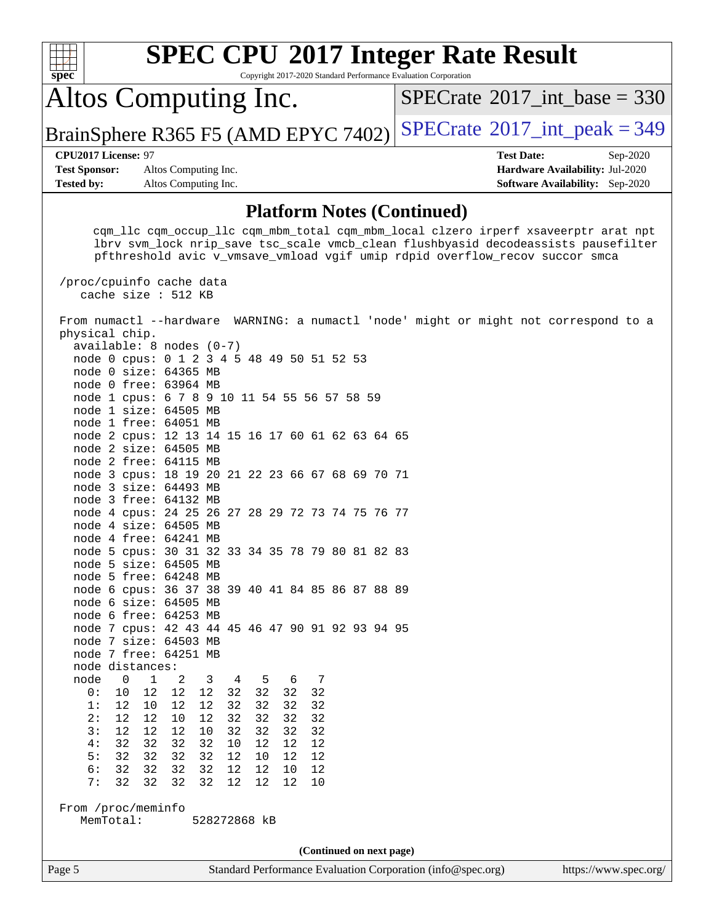| <b>SPEC CPU®2017 Integer Rate Result</b><br>Copyright 2017-2020 Standard Performance Evaluation Corporation<br>$spec^*$                                                                                                                                                                                                                                                                                                                                                                                                                                                                                                                                                                                                                                                                                                                                                                                                                           |                                                                                                     |  |  |  |  |  |
|---------------------------------------------------------------------------------------------------------------------------------------------------------------------------------------------------------------------------------------------------------------------------------------------------------------------------------------------------------------------------------------------------------------------------------------------------------------------------------------------------------------------------------------------------------------------------------------------------------------------------------------------------------------------------------------------------------------------------------------------------------------------------------------------------------------------------------------------------------------------------------------------------------------------------------------------------|-----------------------------------------------------------------------------------------------------|--|--|--|--|--|
| Altos Computing Inc.                                                                                                                                                                                                                                                                                                                                                                                                                                                                                                                                                                                                                                                                                                                                                                                                                                                                                                                              | $SPECrate^{\circ}2017\_int\_base = 330$                                                             |  |  |  |  |  |
| BrainSphere R365 F5 (AMD EPYC 7402)                                                                                                                                                                                                                                                                                                                                                                                                                                                                                                                                                                                                                                                                                                                                                                                                                                                                                                               | $SPECTate$ <sup>®</sup> 2017_int_peak = 349                                                         |  |  |  |  |  |
| CPU2017 License: 97<br><b>Test Sponsor:</b><br>Altos Computing Inc.<br>Altos Computing Inc.<br><b>Tested by:</b>                                                                                                                                                                                                                                                                                                                                                                                                                                                                                                                                                                                                                                                                                                                                                                                                                                  | <b>Test Date:</b><br>Sep-2020<br>Hardware Availability: Jul-2020<br>Software Availability: Sep-2020 |  |  |  |  |  |
| <b>Platform Notes (Continued)</b>                                                                                                                                                                                                                                                                                                                                                                                                                                                                                                                                                                                                                                                                                                                                                                                                                                                                                                                 |                                                                                                     |  |  |  |  |  |
| cqm_llc cqm_occup_llc cqm_mbm_total cqm_mbm_local clzero irperf xsaveerptr arat npt<br>lbrv svm_lock nrip_save tsc_scale vmcb_clean flushbyasid decodeassists pausefilter<br>pfthreshold avic v_vmsave_vmload vgif umip rdpid overflow_recov succor smca                                                                                                                                                                                                                                                                                                                                                                                                                                                                                                                                                                                                                                                                                          |                                                                                                     |  |  |  |  |  |
| /proc/cpuinfo cache data<br>cache size : 512 KB                                                                                                                                                                                                                                                                                                                                                                                                                                                                                                                                                                                                                                                                                                                                                                                                                                                                                                   |                                                                                                     |  |  |  |  |  |
| From numactl --hardware WARNING: a numactl 'node' might or might not correspond to a<br>physical chip.<br>$available: 8 nodes (0-7)$<br>node 0 cpus: 0 1 2 3 4 5 48 49 50 51 52 53<br>node 0 size: 64365 MB<br>node 0 free: 63964 MB<br>node 1 cpus: 6 7 8 9 10 11 54 55 56 57 58 59<br>node 1 size: 64505 MB<br>node 1 free: 64051 MB<br>node 2 cpus: 12 13 14 15 16 17 60 61 62 63 64 65<br>node 2 size: 64505 MB<br>node 2 free: 64115 MB<br>node 3 cpus: 18 19 20 21 22 23 66 67 68 69 70 71<br>node 3 size: 64493 MB<br>node 3 free: 64132 MB<br>node 4 cpus: 24 25 26 27 28 29 72 73 74 75 76 77<br>node 4 size: 64505 MB<br>node 4 free: 64241 MB<br>node 5 cpus: 30 31 32 33 34 35 78 79 80 81 82 83<br>node 5 size: 64505 MB<br>node 5 free: 64248 MB<br>node 6 cpus: 36 37 38 39 40 41 84 85 86 87 88 89<br>node 6 size: 64505 MB<br>node 6 free: 64253 MB<br>node 7 cpus: 42 43 44 45 46 47 90 91 92 93 94 95<br>node 7 size: 64503 MB |                                                                                                     |  |  |  |  |  |
| node 7 free: 64251 MB<br>node distances:                                                                                                                                                                                                                                                                                                                                                                                                                                                                                                                                                                                                                                                                                                                                                                                                                                                                                                          |                                                                                                     |  |  |  |  |  |
| node<br>$\mathbf 1$<br>0<br>2<br>3<br>4<br>5<br>7<br>6<br>12<br>12<br>12<br>32<br>32<br>0:<br>10<br>32<br>32<br>1:<br>32<br>32<br>32<br>12<br>10<br>12<br>12<br>32<br>2:<br>12<br>10<br>12<br>32<br>32<br>32<br>12<br>32<br>32<br>3:<br>12<br>12<br>12<br>10<br>32<br>32<br>32<br>4:<br>32<br>32<br>32<br>32<br>10<br>12<br>12<br>12<br>5:<br>32<br>32<br>32<br>32<br>12<br>12<br>12<br>10<br>6:<br>32<br>32<br>32<br>32<br>12<br>12<br>12<br>10<br>32<br>12<br>7:<br>32<br>32<br>32<br>12<br>12<br>10<br>From /proc/meminfo<br>MemTotal:<br>528272868 kB                                                                                                                                                                                                                                                                                                                                                                                         |                                                                                                     |  |  |  |  |  |
|                                                                                                                                                                                                                                                                                                                                                                                                                                                                                                                                                                                                                                                                                                                                                                                                                                                                                                                                                   |                                                                                                     |  |  |  |  |  |
| (Continued on next page)<br>Standard Performance Evaluation Corporation (info@spec.org)<br>Page 5                                                                                                                                                                                                                                                                                                                                                                                                                                                                                                                                                                                                                                                                                                                                                                                                                                                 | https://www.spec.org/                                                                               |  |  |  |  |  |
|                                                                                                                                                                                                                                                                                                                                                                                                                                                                                                                                                                                                                                                                                                                                                                                                                                                                                                                                                   |                                                                                                     |  |  |  |  |  |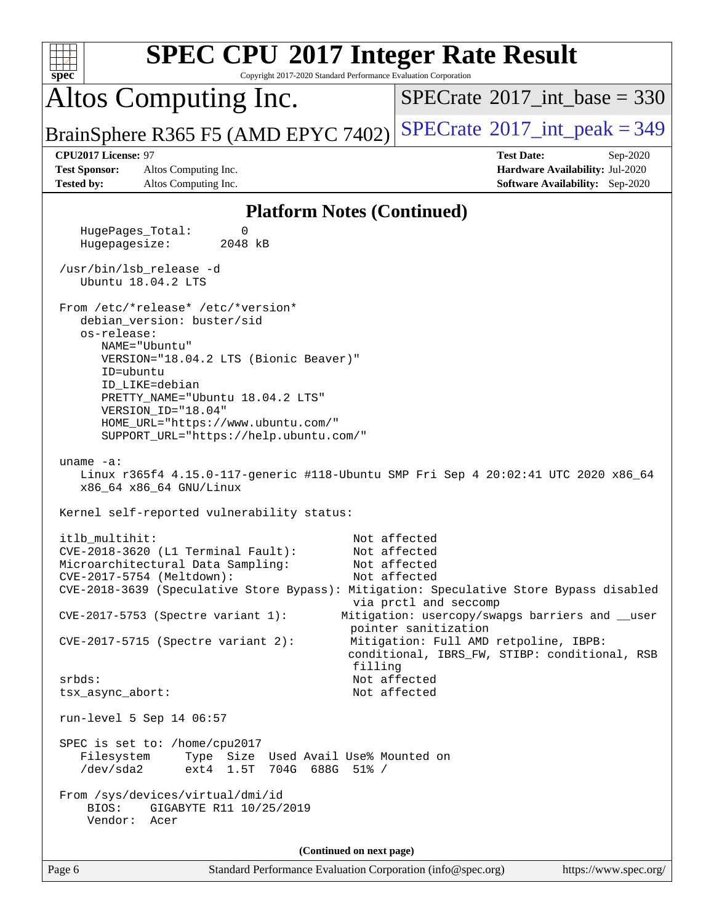| <b>SPEC CPU®2017 Integer Rate Result</b><br>spec<br>Copyright 2017-2020 Standard Performance Evaluation Corporation                                                                                               |                                                                                                                  |
|-------------------------------------------------------------------------------------------------------------------------------------------------------------------------------------------------------------------|------------------------------------------------------------------------------------------------------------------|
| Altos Computing Inc.                                                                                                                                                                                              | $SPECTate$ <sup>®</sup> 2017_int_base = 330                                                                      |
| BrainSphere R365 F5 (AMD EPYC 7402)                                                                                                                                                                               | $SPECrate^{\circ}2017\_int\_peak = 349$                                                                          |
| CPU2017 License: 97<br><b>Test Sponsor:</b><br>Altos Computing Inc.<br><b>Tested by:</b><br>Altos Computing Inc.                                                                                                  | <b>Test Date:</b><br>Sep-2020<br>Hardware Availability: Jul-2020<br>Software Availability: Sep-2020              |
| <b>Platform Notes (Continued)</b>                                                                                                                                                                                 |                                                                                                                  |
| HugePages_Total:<br>0<br>Hugepagesize:<br>2048 kB                                                                                                                                                                 |                                                                                                                  |
| /usr/bin/lsb_release -d<br>Ubuntu 18.04.2 LTS                                                                                                                                                                     |                                                                                                                  |
| From /etc/*release* /etc/*version*<br>debian_version: buster/sid<br>os-release:<br>NAME="Ubuntu"                                                                                                                  |                                                                                                                  |
| VERSION="18.04.2 LTS (Bionic Beaver)"<br>ID=ubuntu<br>ID_LIKE=debian                                                                                                                                              |                                                                                                                  |
| PRETTY_NAME="Ubuntu 18.04.2 LTS"<br>VERSION_ID="18.04"<br>HOME_URL="https://www.ubuntu.com/"<br>SUPPORT_URL="https://help.ubuntu.com/"                                                                            |                                                                                                                  |
| uname $-a$ :<br>Linux r365f4 4.15.0-117-generic #118-Ubuntu SMP Fri Sep 4 20:02:41 UTC 2020 x86_64<br>x86_64 x86_64 GNU/Linux                                                                                     |                                                                                                                  |
| Kernel self-reported vulnerability status:                                                                                                                                                                        |                                                                                                                  |
| itlb_multihit:<br>CVE-2018-3620 (L1 Terminal Fault):<br>Microarchitectural Data Sampling:<br>CVE-2017-5754 (Meltdown):<br>CVE-2018-3639 (Speculative Store Bypass): Mitigation: Speculative Store Bypass disabled | Not affected<br>Not affected<br>Not affected<br>Not affected<br>via prctl and seccomp                            |
| CVE-2017-5753 (Spectre variant 1):<br>$CVE-2017-5715$ (Spectre variant 2):                                                                                                                                        | Mitigation: usercopy/swapgs barriers and __user<br>pointer sanitization<br>Mitigation: Full AMD retpoline, IBPB: |
| filling<br>srbds:                                                                                                                                                                                                 | conditional, IBRS_FW, STIBP: conditional, RSB<br>Not affected                                                    |
| tsx_async_abort:<br>run-level 5 Sep 14 06:57                                                                                                                                                                      | Not affected                                                                                                     |
| SPEC is set to: /home/cpu2017<br>Filesystem<br>Type Size Used Avail Use% Mounted on<br>ext4 1.5T 704G 688G 51% /<br>/dev/sda2                                                                                     |                                                                                                                  |
| From /sys/devices/virtual/dmi/id<br>BIOS:<br>GIGABYTE R11 10/25/2019<br>Vendor: Acer                                                                                                                              |                                                                                                                  |
| (Continued on next page)                                                                                                                                                                                          |                                                                                                                  |
| Page 6<br>Standard Performance Evaluation Corporation (info@spec.org)                                                                                                                                             | https://www.spec.org/                                                                                            |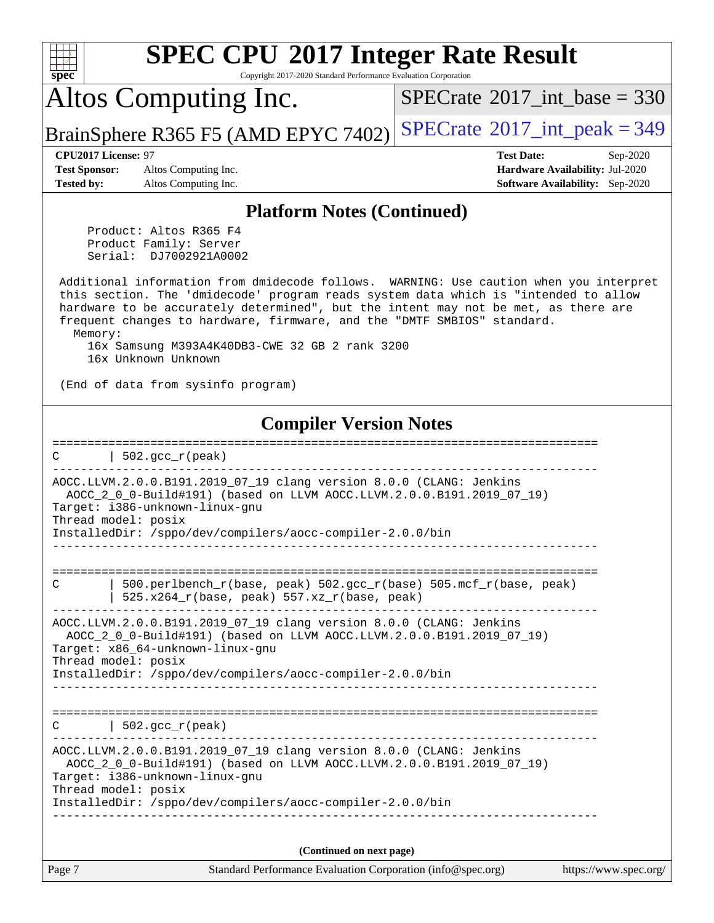| <b>SPEC CPU®2017 Integer Rate Result</b><br>Copyright 2017-2020 Standard Performance Evaluation Corporation<br>spec <sup>®</sup>                                                                                                                                                                                                                          |                                                                                                            |  |  |  |  |  |  |
|-----------------------------------------------------------------------------------------------------------------------------------------------------------------------------------------------------------------------------------------------------------------------------------------------------------------------------------------------------------|------------------------------------------------------------------------------------------------------------|--|--|--|--|--|--|
| Altos Computing Inc.                                                                                                                                                                                                                                                                                                                                      | $SPECTate$ <sup>®</sup> 2017_int_base = 330                                                                |  |  |  |  |  |  |
| BrainSphere R365 F5 (AMD EPYC 7402)                                                                                                                                                                                                                                                                                                                       | $SPECTate@2017_int\_peak = 349$                                                                            |  |  |  |  |  |  |
| CPU2017 License: 97<br>Altos Computing Inc.<br><b>Test Sponsor:</b><br><b>Tested by:</b><br>Altos Computing Inc.                                                                                                                                                                                                                                          | <b>Test Date:</b><br>Sep-2020<br>Hardware Availability: Jul-2020<br><b>Software Availability:</b> Sep-2020 |  |  |  |  |  |  |
| <b>Platform Notes (Continued)</b>                                                                                                                                                                                                                                                                                                                         |                                                                                                            |  |  |  |  |  |  |
| Product: Altos R365 F4<br>Product Family: Server<br>Serial: DJ7002921A0002                                                                                                                                                                                                                                                                                |                                                                                                            |  |  |  |  |  |  |
| Additional information from dmidecode follows. WARNING: Use caution when you interpret<br>this section. The 'dmidecode' program reads system data which is "intended to allow<br>hardware to be accurately determined", but the intent may not be met, as there are<br>frequent changes to hardware, firmware, and the "DMTF SMBIOS" standard.<br>Memory: |                                                                                                            |  |  |  |  |  |  |
| 16x Samsung M393A4K40DB3-CWE 32 GB 2 rank 3200<br>16x Unknown Unknown                                                                                                                                                                                                                                                                                     |                                                                                                            |  |  |  |  |  |  |
| (End of data from sysinfo program)                                                                                                                                                                                                                                                                                                                        |                                                                                                            |  |  |  |  |  |  |
| <b>Compiler Version Notes</b>                                                                                                                                                                                                                                                                                                                             |                                                                                                            |  |  |  |  |  |  |
| $502.$ gcc_r(peak)<br>C                                                                                                                                                                                                                                                                                                                                   |                                                                                                            |  |  |  |  |  |  |
| AOCC.LLVM.2.0.0.B191.2019_07_19 clang version 8.0.0 (CLANG: Jenkins<br>AOCC_2_0_0-Build#191) (based on LLVM AOCC.LLVM.2.0.0.B191.2019_07_19)<br>Target: i386-unknown-linux-gnu<br>Thread model: posix<br>InstalledDir: /sppo/dev/compilers/aocc-compiler-2.0.0/bin                                                                                        |                                                                                                            |  |  |  |  |  |  |
|                                                                                                                                                                                                                                                                                                                                                           |                                                                                                            |  |  |  |  |  |  |
| 500.perlbench_r(base, peak) 502.gcc_r(base) 505.mcf_r(base, peak)<br>С<br>$525.x264_r(base, peak) 557.xz_r(base, peak)$                                                                                                                                                                                                                                   |                                                                                                            |  |  |  |  |  |  |
| AOCC.LLVM.2.0.0.B191.2019_07_19 clang version 8.0.0 (CLANG: Jenkins<br>AOCC_2_0_0-Build#191) (based on LLVM AOCC.LLVM.2.0.0.B191.2019_07_19)<br>Target: x86 64-unknown-linux-qnu<br>Thread model: posix<br>InstalledDir: /sppo/dev/compilers/aocc-compiler-2.0.0/bin                                                                                      |                                                                                                            |  |  |  |  |  |  |
|                                                                                                                                                                                                                                                                                                                                                           |                                                                                                            |  |  |  |  |  |  |
| $502.$ gcc_r(peak)<br>C                                                                                                                                                                                                                                                                                                                                   |                                                                                                            |  |  |  |  |  |  |
| AOCC.LLVM.2.0.0.B191.2019_07_19 clang version 8.0.0 (CLANG: Jenkins<br>AOCC_2_0_0-Build#191) (based on LLVM AOCC.LLVM.2.0.0.B191.2019_07_19)<br>Target: i386-unknown-linux-gnu<br>Thread model: posix                                                                                                                                                     |                                                                                                            |  |  |  |  |  |  |
| InstalledDir: /sppo/dev/compilers/aocc-compiler-2.0.0/bin                                                                                                                                                                                                                                                                                                 |                                                                                                            |  |  |  |  |  |  |
| (Continued on next page)                                                                                                                                                                                                                                                                                                                                  |                                                                                                            |  |  |  |  |  |  |
| Page 7<br>Standard Performance Evaluation Corporation (info@spec.org)                                                                                                                                                                                                                                                                                     | https://www.spec.org/                                                                                      |  |  |  |  |  |  |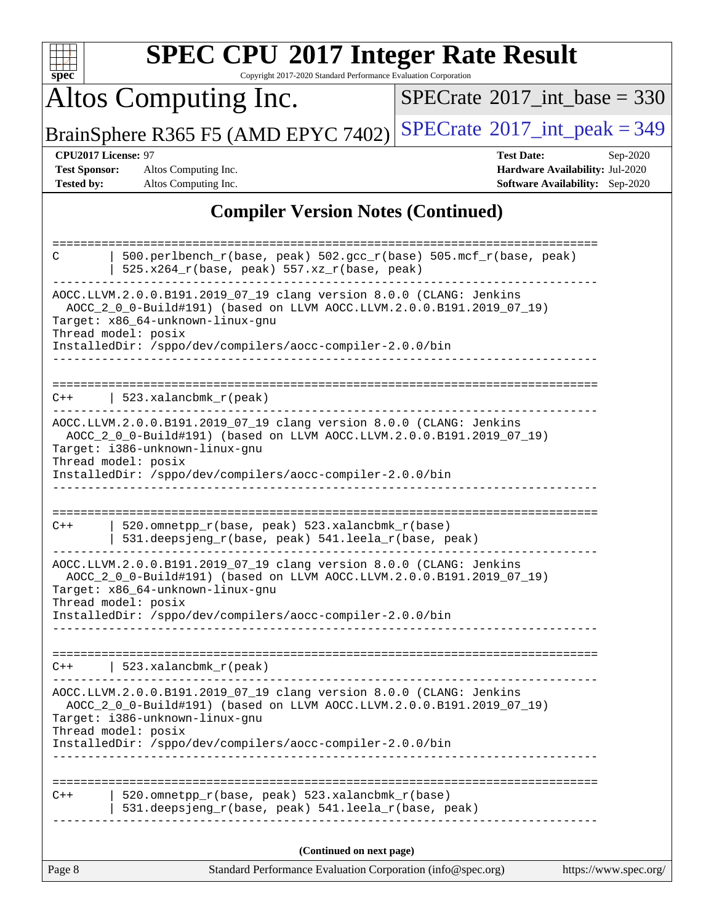| <b>SPEC CPU®2017 Integer Rate Result</b><br>Copyright 2017-2020 Standard Performance Evaluation Corporation<br>spec                                                                                                                                                                                                                                                                                                     |                                                                                                            |  |  |  |  |  |
|-------------------------------------------------------------------------------------------------------------------------------------------------------------------------------------------------------------------------------------------------------------------------------------------------------------------------------------------------------------------------------------------------------------------------|------------------------------------------------------------------------------------------------------------|--|--|--|--|--|
| Altos Computing Inc.                                                                                                                                                                                                                                                                                                                                                                                                    | $SPECTate$ <sup>®</sup> 2017_int_base = 330                                                                |  |  |  |  |  |
| BrainSphere R365 F5 (AMD EPYC 7402)                                                                                                                                                                                                                                                                                                                                                                                     | $SPECTate@2017_int\_peak = 349$                                                                            |  |  |  |  |  |
| CPU2017 License: 97<br><b>Test Sponsor:</b><br>Altos Computing Inc.<br>Tested by:<br>Altos Computing Inc.                                                                                                                                                                                                                                                                                                               | <b>Test Date:</b><br>Sep-2020<br>Hardware Availability: Jul-2020<br><b>Software Availability:</b> Sep-2020 |  |  |  |  |  |
| <b>Compiler Version Notes (Continued)</b>                                                                                                                                                                                                                                                                                                                                                                               |                                                                                                            |  |  |  |  |  |
| 500.perlbench_r(base, peak) 502.gcc_r(base) 505.mcf_r(base, peak)<br>C<br>$525.x264_r(base, peak) 557.xz_r(base, peak)$<br>AOCC.LLVM.2.0.0.B191.2019_07_19 clang version 8.0.0 (CLANG: Jenkins<br>AOCC_2_0_0-Build#191) (based on LLVM AOCC.LLVM.2.0.0.B191.2019_07_19)<br>Target: x86 64-unknown-linux-gnu<br>Thread model: posix<br>InstalledDir: /sppo/dev/compilers/aocc-compiler-2.0.0/bin                         |                                                                                                            |  |  |  |  |  |
| 523.xalancbmk_r(peak)<br>C++<br>AOCC.LLVM.2.0.0.B191.2019_07_19 clang version 8.0.0 (CLANG: Jenkins<br>AOCC_2_0_0-Build#191) (based on LLVM AOCC.LLVM.2.0.0.B191.2019_07_19)<br>Target: i386-unknown-linux-gnu<br>Thread model: posix<br>InstalledDir: /sppo/dev/compilers/aocc-compiler-2.0.0/bin                                                                                                                      |                                                                                                            |  |  |  |  |  |
| 520.omnetpp_r(base, peak) 523.xalancbmk_r(base)<br>$C++$<br>531.deepsjeng_r(base, peak) 541.leela_r(base, peak)<br>AOCC.LLVM.2.0.0.B191.2019_07_19 clang version 8.0.0 (CLANG: Jenkins<br>AOCC_2_0_0-Build#191) (based on LLVM AOCC.LLVM.2.0.0.B191.2019_07_19)<br>Target: x86_64-unknown-linux-gnu<br>Thread model: posix<br>InstalledDir: /sppo/dev/compilers/aocc-compiler-2.0.0/bin                                 |                                                                                                            |  |  |  |  |  |
| 523.xalancbmk_r(peak)<br>$C++$<br>AOCC.LLVM.2.0.0.B191.2019_07_19 clang version 8.0.0 (CLANG: Jenkins<br>AOCC_2_0_0-Build#191) (based on LLVM AOCC.LLVM.2.0.0.B191.2019_07_19)<br>Target: i386-unknown-linux-gnu<br>Thread model: posix<br>InstalledDir: /sppo/dev/compilers/aocc-compiler-2.0.0/bin<br>520.omnetpp_r(base, peak) 523.xalancbmk_r(base)<br>$C++$<br>531.deepsjeng_r(base, peak) 541.leela_r(base, peak) |                                                                                                            |  |  |  |  |  |
| (Continued on next page)                                                                                                                                                                                                                                                                                                                                                                                                |                                                                                                            |  |  |  |  |  |
| Page 8<br>Standard Performance Evaluation Corporation (info@spec.org)                                                                                                                                                                                                                                                                                                                                                   | https://www.spec.org/                                                                                      |  |  |  |  |  |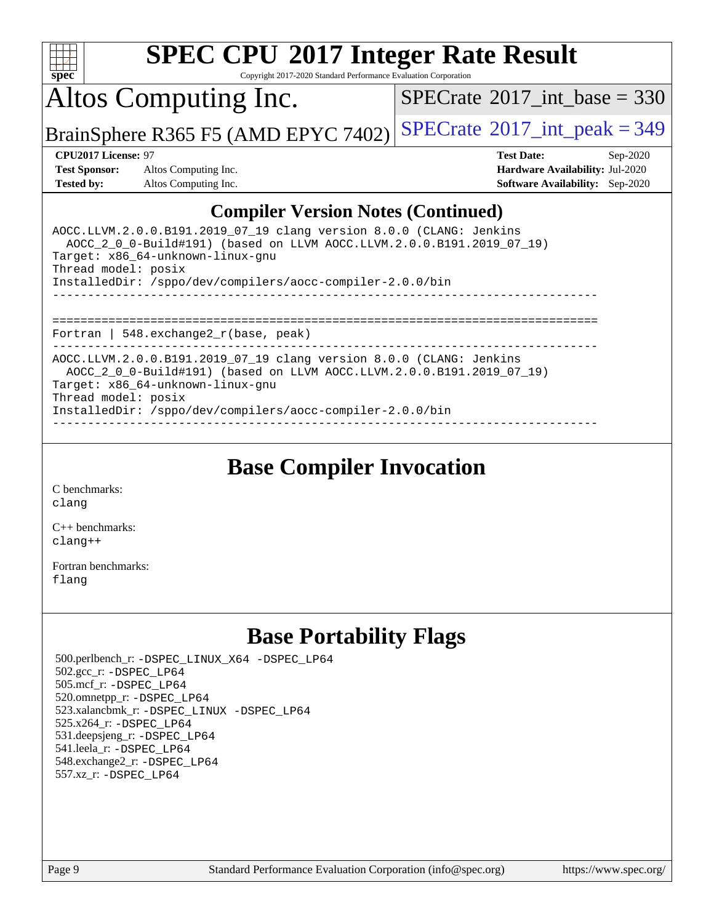

Copyright 2017-2020 Standard Performance Evaluation Corporation

Altos Computing Inc.

 $SPECTate@2017_int\_base = 330$ 

BrainSphere R365 F5 (AMD EPYC 7402) [SPECrate](http://www.spec.org/auto/cpu2017/Docs/result-fields.html#SPECrate2017intpeak)<sup>®</sup>[2017\\_int\\_peak = 3](http://www.spec.org/auto/cpu2017/Docs/result-fields.html#SPECrate2017intpeak)49

**[Test Sponsor:](http://www.spec.org/auto/cpu2017/Docs/result-fields.html#TestSponsor)** Altos Computing Inc. **[Hardware Availability:](http://www.spec.org/auto/cpu2017/Docs/result-fields.html#HardwareAvailability)** Jul-2020 **[Tested by:](http://www.spec.org/auto/cpu2017/Docs/result-fields.html#Testedby)** Altos Computing Inc. **[Software Availability:](http://www.spec.org/auto/cpu2017/Docs/result-fields.html#SoftwareAvailability)** Sep-2020

**[CPU2017 License:](http://www.spec.org/auto/cpu2017/Docs/result-fields.html#CPU2017License)** 97 **[Test Date:](http://www.spec.org/auto/cpu2017/Docs/result-fields.html#TestDate)** Sep-2020

### **[Compiler Version Notes \(Continued\)](http://www.spec.org/auto/cpu2017/Docs/result-fields.html#CompilerVersionNotes)**

| AOCC.LLVM.2.0.0.B191.2019 07 19 clang version 8.0.0 (CLANG: Jenkins<br>AOCC 2 0 0-Build#191) (based on LLVM AOCC.LLVM.2.0.0.B191.2019 07 19)<br>Target: x86 64-unknown-linux-gnu<br>Thread model: posix<br>InstalledDir: /sppo/dev/compilers/aocc-compiler-2.0.0/bin |
|----------------------------------------------------------------------------------------------------------------------------------------------------------------------------------------------------------------------------------------------------------------------|
| Fortran   548. $exchange2 r(base, peak)$                                                                                                                                                                                                                             |
| AOCC.LLVM.2.0.0.B191.2019 07 19 clang version 8.0.0 (CLANG: Jenkins<br>AOCC 2 0 0-Build#191) (based on LLVM AOCC.LLVM.2.0.0.B191.2019 07 19)<br>Target: x86 64-unknown-linux-gnu<br>Thread model: posix<br>InstalledDir: /sppo/dev/compilers/aocc-compiler-2.0.0/bin |

**[Base Compiler Invocation](http://www.spec.org/auto/cpu2017/Docs/result-fields.html#BaseCompilerInvocation)**

[C benchmarks](http://www.spec.org/auto/cpu2017/Docs/result-fields.html#Cbenchmarks): [clang](http://www.spec.org/cpu2017/results/res2020q4/cpu2017-20201012-24194.flags.html#user_CCbase_clang-c)

[C++ benchmarks:](http://www.spec.org/auto/cpu2017/Docs/result-fields.html#CXXbenchmarks) [clang++](http://www.spec.org/cpu2017/results/res2020q4/cpu2017-20201012-24194.flags.html#user_CXXbase_clang-cpp)

[Fortran benchmarks](http://www.spec.org/auto/cpu2017/Docs/result-fields.html#Fortranbenchmarks): [flang](http://www.spec.org/cpu2017/results/res2020q4/cpu2017-20201012-24194.flags.html#user_FCbase_flang)

## **[Base Portability Flags](http://www.spec.org/auto/cpu2017/Docs/result-fields.html#BasePortabilityFlags)**

 500.perlbench\_r: [-DSPEC\\_LINUX\\_X64](http://www.spec.org/cpu2017/results/res2020q4/cpu2017-20201012-24194.flags.html#b500.perlbench_r_basePORTABILITY_DSPEC_LINUX_X64) [-DSPEC\\_LP64](http://www.spec.org/cpu2017/results/res2020q4/cpu2017-20201012-24194.flags.html#b500.perlbench_r_baseEXTRA_PORTABILITY_DSPEC_LP64) 502.gcc\_r: [-DSPEC\\_LP64](http://www.spec.org/cpu2017/results/res2020q4/cpu2017-20201012-24194.flags.html#suite_baseEXTRA_PORTABILITY502_gcc_r_DSPEC_LP64) 505.mcf\_r: [-DSPEC\\_LP64](http://www.spec.org/cpu2017/results/res2020q4/cpu2017-20201012-24194.flags.html#suite_baseEXTRA_PORTABILITY505_mcf_r_DSPEC_LP64) 520.omnetpp\_r: [-DSPEC\\_LP64](http://www.spec.org/cpu2017/results/res2020q4/cpu2017-20201012-24194.flags.html#suite_baseEXTRA_PORTABILITY520_omnetpp_r_DSPEC_LP64) 523.xalancbmk\_r: [-DSPEC\\_LINUX](http://www.spec.org/cpu2017/results/res2020q4/cpu2017-20201012-24194.flags.html#b523.xalancbmk_r_basePORTABILITY_DSPEC_LINUX) [-DSPEC\\_LP64](http://www.spec.org/cpu2017/results/res2020q4/cpu2017-20201012-24194.flags.html#suite_baseEXTRA_PORTABILITY523_xalancbmk_r_DSPEC_LP64) 525.x264\_r: [-DSPEC\\_LP64](http://www.spec.org/cpu2017/results/res2020q4/cpu2017-20201012-24194.flags.html#suite_baseEXTRA_PORTABILITY525_x264_r_DSPEC_LP64) 531.deepsjeng\_r: [-DSPEC\\_LP64](http://www.spec.org/cpu2017/results/res2020q4/cpu2017-20201012-24194.flags.html#suite_baseEXTRA_PORTABILITY531_deepsjeng_r_DSPEC_LP64) 541.leela\_r: [-DSPEC\\_LP64](http://www.spec.org/cpu2017/results/res2020q4/cpu2017-20201012-24194.flags.html#suite_baseEXTRA_PORTABILITY541_leela_r_DSPEC_LP64) 548.exchange2\_r: [-DSPEC\\_LP64](http://www.spec.org/cpu2017/results/res2020q4/cpu2017-20201012-24194.flags.html#suite_baseEXTRA_PORTABILITY548_exchange2_r_DSPEC_LP64) 557.xz\_r: [-DSPEC\\_LP64](http://www.spec.org/cpu2017/results/res2020q4/cpu2017-20201012-24194.flags.html#suite_baseEXTRA_PORTABILITY557_xz_r_DSPEC_LP64)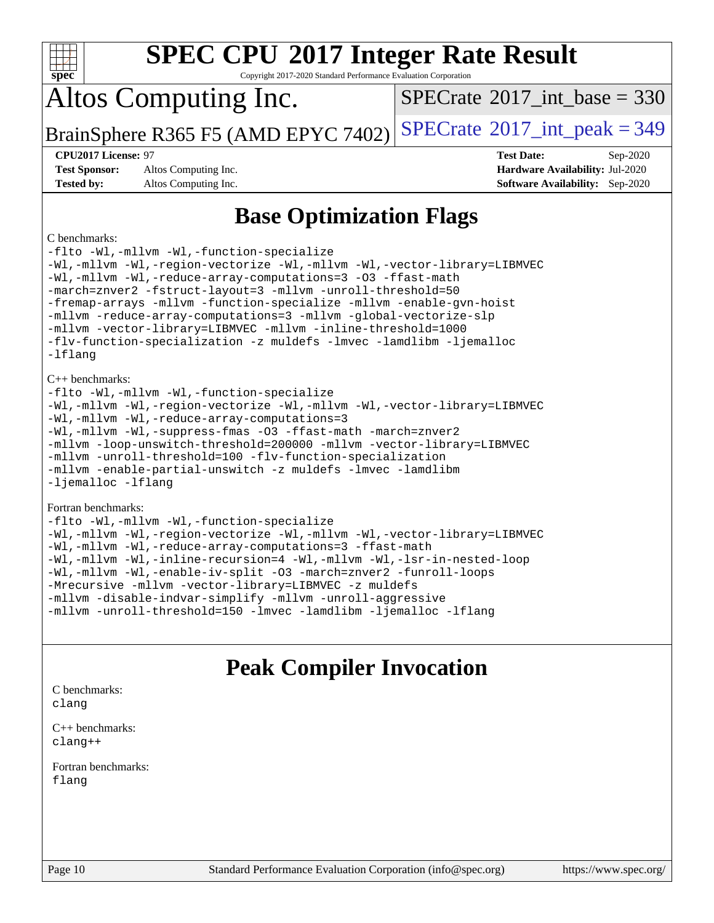| <b>SPEC CPU®2017 Integer Rate Result</b><br>Spec<br>Copyright 2017-2020 Standard Performance Evaluation Corporation                                                                                                                                                                                                                                                                                                                                                                                                                                                 |                                                                                                            |  |  |  |  |  |  |
|---------------------------------------------------------------------------------------------------------------------------------------------------------------------------------------------------------------------------------------------------------------------------------------------------------------------------------------------------------------------------------------------------------------------------------------------------------------------------------------------------------------------------------------------------------------------|------------------------------------------------------------------------------------------------------------|--|--|--|--|--|--|
| Altos Computing Inc.                                                                                                                                                                                                                                                                                                                                                                                                                                                                                                                                                | $SPECTate$ <sup>®</sup> 2017_int_base = 330                                                                |  |  |  |  |  |  |
| BrainSphere R365 F5 (AMD EPYC 7402)                                                                                                                                                                                                                                                                                                                                                                                                                                                                                                                                 | $SPECTate$ <sup>®</sup> 2017_int_peak = 349                                                                |  |  |  |  |  |  |
| CPU2017 License: 97<br><b>Test Sponsor:</b><br>Altos Computing Inc.<br><b>Tested by:</b><br>Altos Computing Inc.                                                                                                                                                                                                                                                                                                                                                                                                                                                    | <b>Test Date:</b><br>Sep-2020<br>Hardware Availability: Jul-2020<br><b>Software Availability:</b> Sep-2020 |  |  |  |  |  |  |
| C benchmarks:<br>-flto -Wl,-mllvm -Wl,-function-specialize<br>-Wl,-mllvm -Wl,-region-vectorize -Wl,-mllvm -Wl,-vector-library=LIBMVEC<br>-Wl,-mllvm -Wl,-reduce-array-computations=3 -03 -ffast-math<br>-march=znver2 -fstruct-layout=3 -mllvm -unroll-threshold=50<br>-fremap-arrays -mllvm -function-specialize -mllvm -enable-gvn-hoist<br>-mllvm -reduce-array-computations=3 -mllvm -qlobal-vectorize-slp<br>-mllvm -vector-library=LIBMVEC -mllvm -inline-threshold=1000<br>-flv-function-specialization -z muldefs -lmvec -lamdlibm -ljemalloc<br>$-Ifl$ anq | <b>Base Optimization Flags</b>                                                                             |  |  |  |  |  |  |
| $C_{++}$ benchmarks:<br>-flto -Wl,-mllvm -Wl,-function-specialize<br>-Wl,-mllvm -Wl,-region-vectorize -Wl,-mllvm -Wl,-vector-library=LIBMVEC<br>-Wl,-mllvm -Wl,-reduce-array-computations=3<br>-Wl,-mllvm -Wl,-suppress-fmas -03 -ffast-math -march=znver2<br>-mllvm -loop-unswitch-threshold=200000 -mllvm -vector-library=LIBMVEC<br>-mllvm -unroll-threshold=100 -flv-function-specialization                                                                                                                                                                    |                                                                                                            |  |  |  |  |  |  |

[-mllvm -enable-partial-unswitch](http://www.spec.org/cpu2017/results/res2020q4/cpu2017-20201012-24194.flags.html#user_CXXbase_F-enable-partial-unswitch_6e1c33f981d77963b1eaf834973128a7f33ce3f8e27f54689656697a35e89dcc875281e0e6283d043e32f367dcb605ba0e307a92e830f7e326789fa6c61b35d3) [-z muldefs](http://www.spec.org/cpu2017/results/res2020q4/cpu2017-20201012-24194.flags.html#user_CXXbase_aocc-muldefs) [-lmvec](http://www.spec.org/cpu2017/results/res2020q4/cpu2017-20201012-24194.flags.html#user_CXXbase_F-lmvec) [-lamdlibm](http://www.spec.org/cpu2017/results/res2020q4/cpu2017-20201012-24194.flags.html#user_CXXbase_F-lamdlibm) [-ljemalloc](http://www.spec.org/cpu2017/results/res2020q4/cpu2017-20201012-24194.flags.html#user_CXXbase_jemalloc-lib) [-lflang](http://www.spec.org/cpu2017/results/res2020q4/cpu2017-20201012-24194.flags.html#user_CXXbase_F-lflang)

#### [Fortran benchmarks:](http://www.spec.org/auto/cpu2017/Docs/result-fields.html#Fortranbenchmarks)

| -flto -Wl,-mllvm -Wl,-function-specialize                               |
|-------------------------------------------------------------------------|
| -Wl,-mllvm -Wl,-region-vectorize -Wl,-mllvm -Wl,-vector-library=LIBMVEC |
| -Wl,-mllvm -Wl,-reduce-array-computations=3 -ffast-math                 |
| -Wl,-mllvm -Wl,-inline-recursion=4 -Wl,-mllvm -Wl,-lsr-in-nested-loop   |
| -Wl,-mllvm -Wl,-enable-iv-split -03 -march=znver2 -funroll-loops        |
| -Mrecursive -mllvm -vector-library=LIBMVEC -z muldefs                   |
| -mllvm -disable-indvar-simplify -mllvm -unroll-aggressive               |
| -mllvm -unroll-threshold=150 -lmvec -lamdlibm -ljemalloc -lflang        |

# **[Peak Compiler Invocation](http://www.spec.org/auto/cpu2017/Docs/result-fields.html#PeakCompilerInvocation)**

[C benchmarks](http://www.spec.org/auto/cpu2017/Docs/result-fields.html#Cbenchmarks): [clang](http://www.spec.org/cpu2017/results/res2020q4/cpu2017-20201012-24194.flags.html#user_CCpeak_clang-c)

[C++ benchmarks:](http://www.spec.org/auto/cpu2017/Docs/result-fields.html#CXXbenchmarks) [clang++](http://www.spec.org/cpu2017/results/res2020q4/cpu2017-20201012-24194.flags.html#user_CXXpeak_clang-cpp)

[Fortran benchmarks](http://www.spec.org/auto/cpu2017/Docs/result-fields.html#Fortranbenchmarks): [flang](http://www.spec.org/cpu2017/results/res2020q4/cpu2017-20201012-24194.flags.html#user_FCpeak_flang)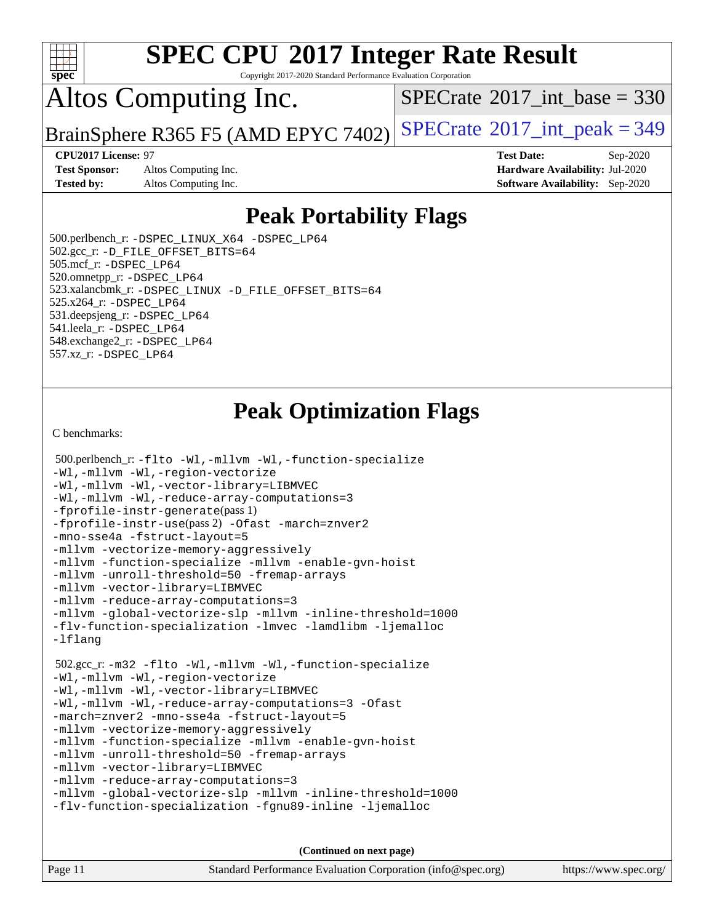

Copyright 2017-2020 Standard Performance Evaluation Corporation

## Altos Computing Inc.

 $SPECTate@2017_int\_base = 330$ 

BrainSphere R365 F5 (AMD EPYC 7402) [SPECrate](http://www.spec.org/auto/cpu2017/Docs/result-fields.html#SPECrate2017intpeak)<sup>®</sup>[2017\\_int\\_peak = 3](http://www.spec.org/auto/cpu2017/Docs/result-fields.html#SPECrate2017intpeak)49

**[Test Sponsor:](http://www.spec.org/auto/cpu2017/Docs/result-fields.html#TestSponsor)** Altos Computing Inc. **[Hardware Availability:](http://www.spec.org/auto/cpu2017/Docs/result-fields.html#HardwareAvailability)** Jul-2020 **[Tested by:](http://www.spec.org/auto/cpu2017/Docs/result-fields.html#Testedby)** Altos Computing Inc. **[Software Availability:](http://www.spec.org/auto/cpu2017/Docs/result-fields.html#SoftwareAvailability)** Sep-2020

**[CPU2017 License:](http://www.spec.org/auto/cpu2017/Docs/result-fields.html#CPU2017License)** 97 **[Test Date:](http://www.spec.org/auto/cpu2017/Docs/result-fields.html#TestDate)** Sep-2020

## **[Peak Portability Flags](http://www.spec.org/auto/cpu2017/Docs/result-fields.html#PeakPortabilityFlags)**

 500.perlbench\_r: [-DSPEC\\_LINUX\\_X64](http://www.spec.org/cpu2017/results/res2020q4/cpu2017-20201012-24194.flags.html#b500.perlbench_r_peakPORTABILITY_DSPEC_LINUX_X64) [-DSPEC\\_LP64](http://www.spec.org/cpu2017/results/res2020q4/cpu2017-20201012-24194.flags.html#b500.perlbench_r_peakEXTRA_PORTABILITY_DSPEC_LP64) 502.gcc\_r: [-D\\_FILE\\_OFFSET\\_BITS=64](http://www.spec.org/cpu2017/results/res2020q4/cpu2017-20201012-24194.flags.html#user_peakEXTRA_PORTABILITY502_gcc_r_F-D_FILE_OFFSET_BITS_5ae949a99b284ddf4e95728d47cb0843d81b2eb0e18bdfe74bbf0f61d0b064f4bda2f10ea5eb90e1dcab0e84dbc592acfc5018bc955c18609f94ddb8d550002c) 505.mcf\_r: [-DSPEC\\_LP64](http://www.spec.org/cpu2017/results/res2020q4/cpu2017-20201012-24194.flags.html#suite_peakEXTRA_PORTABILITY505_mcf_r_DSPEC_LP64) 520.omnetpp\_r: [-DSPEC\\_LP64](http://www.spec.org/cpu2017/results/res2020q4/cpu2017-20201012-24194.flags.html#suite_peakEXTRA_PORTABILITY520_omnetpp_r_DSPEC_LP64) 523.xalancbmk\_r: [-DSPEC\\_LINUX](http://www.spec.org/cpu2017/results/res2020q4/cpu2017-20201012-24194.flags.html#b523.xalancbmk_r_peakPORTABILITY_DSPEC_LINUX) [-D\\_FILE\\_OFFSET\\_BITS=64](http://www.spec.org/cpu2017/results/res2020q4/cpu2017-20201012-24194.flags.html#user_peakEXTRA_PORTABILITY523_xalancbmk_r_F-D_FILE_OFFSET_BITS_5ae949a99b284ddf4e95728d47cb0843d81b2eb0e18bdfe74bbf0f61d0b064f4bda2f10ea5eb90e1dcab0e84dbc592acfc5018bc955c18609f94ddb8d550002c) 525.x264\_r: [-DSPEC\\_LP64](http://www.spec.org/cpu2017/results/res2020q4/cpu2017-20201012-24194.flags.html#suite_peakEXTRA_PORTABILITY525_x264_r_DSPEC_LP64) 531.deepsjeng\_r: [-DSPEC\\_LP64](http://www.spec.org/cpu2017/results/res2020q4/cpu2017-20201012-24194.flags.html#suite_peakEXTRA_PORTABILITY531_deepsjeng_r_DSPEC_LP64) 541.leela\_r: [-DSPEC\\_LP64](http://www.spec.org/cpu2017/results/res2020q4/cpu2017-20201012-24194.flags.html#suite_peakEXTRA_PORTABILITY541_leela_r_DSPEC_LP64) 548.exchange2\_r: [-DSPEC\\_LP64](http://www.spec.org/cpu2017/results/res2020q4/cpu2017-20201012-24194.flags.html#suite_peakEXTRA_PORTABILITY548_exchange2_r_DSPEC_LP64) 557.xz\_r: [-DSPEC\\_LP64](http://www.spec.org/cpu2017/results/res2020q4/cpu2017-20201012-24194.flags.html#suite_peakEXTRA_PORTABILITY557_xz_r_DSPEC_LP64)

## **[Peak Optimization Flags](http://www.spec.org/auto/cpu2017/Docs/result-fields.html#PeakOptimizationFlags)**

[C benchmarks](http://www.spec.org/auto/cpu2017/Docs/result-fields.html#Cbenchmarks):

```
 500.perlbench_r: -flto -Wl,-mllvm -Wl,-function-specialize
-Wl,-mllvm -Wl,-region-vectorize
-Wl,-mllvm -Wl,-vector-library=LIBMVEC
-Wl,-mllvm -Wl,-reduce-array-computations=3
-fprofile-instr-generate(pass 1)
-fprofile-instr-use(pass 2) -Ofast -march=znver2
-mno-sse4a -fstruct-layout=5
-mllvm -vectorize-memory-aggressively
-mllvm -function-specialize -mllvm -enable-gvn-hoist
-mllvm -unroll-threshold=50 -fremap-arrays
-mllvm -vector-library=LIBMVEC
-mllvm -reduce-array-computations=3
-mllvm -global-vectorize-slp -mllvm -inline-threshold=1000
-flv-function-specialization -lmvec -lamdlibm -ljemalloc
-lflang
 502.gcc_r: -m32 -flto -Wl,-mllvm -Wl,-function-specialize
-Wl,-mllvm -Wl,-region-vectorize
-Wl,-mllvm -Wl,-vector-library=LIBMVEC
-Wl,-mllvm -Wl,-reduce-array-computations=3 -Ofast
-march=znver2 -mno-sse4a -fstruct-layout=5
-mllvm -vectorize-memory-aggressively
-mllvm -function-specialize -mllvm -enable-gvn-hoist
-mllvm -unroll-threshold=50 -fremap-arrays
-mllvm -vector-library=LIBMVEC
-mllvm -reduce-array-computations=3
-mllvm -global-vectorize-slp -mllvm -inline-threshold=1000
-flv-function-specialization -fgnu89-inline -ljemalloc
```
**(Continued on next page)**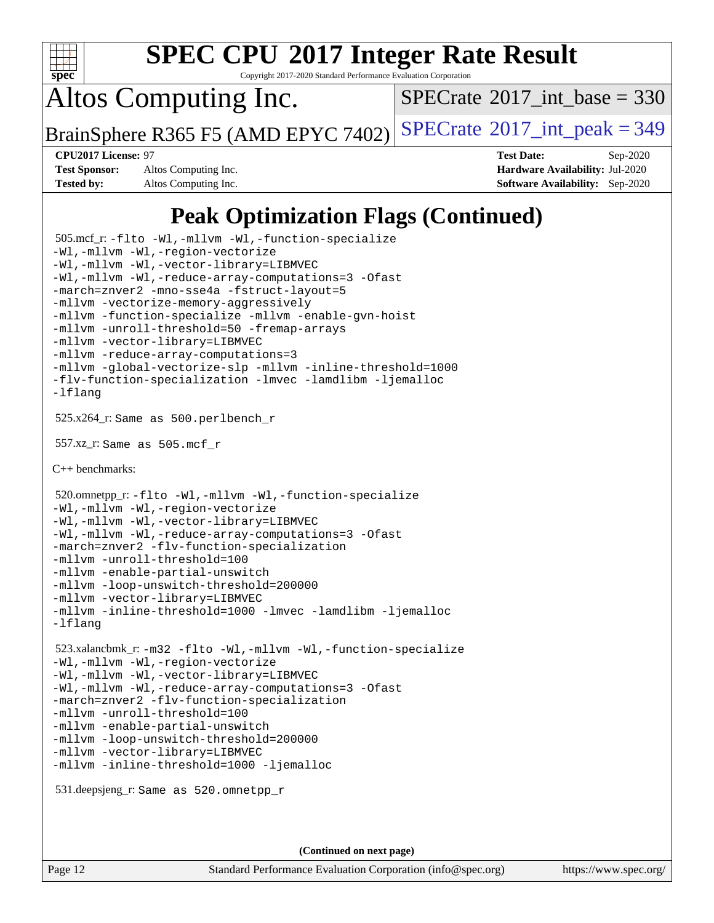

Copyright 2017-2020 Standard Performance Evaluation Corporation

Altos Computing Inc.

 $SPECTate$ <sup>®</sup>[2017\\_int\\_base =](http://www.spec.org/auto/cpu2017/Docs/result-fields.html#SPECrate2017intbase) 330

BrainSphere R365 F5 (AMD EPYC 7402) [SPECrate](http://www.spec.org/auto/cpu2017/Docs/result-fields.html#SPECrate2017intpeak)<sup>®</sup>[2017\\_int\\_peak = 3](http://www.spec.org/auto/cpu2017/Docs/result-fields.html#SPECrate2017intpeak)49

**[Test Sponsor:](http://www.spec.org/auto/cpu2017/Docs/result-fields.html#TestSponsor)** Altos Computing Inc. **[Hardware Availability:](http://www.spec.org/auto/cpu2017/Docs/result-fields.html#HardwareAvailability)** Jul-2020

**[CPU2017 License:](http://www.spec.org/auto/cpu2017/Docs/result-fields.html#CPU2017License)** 97 **[Test Date:](http://www.spec.org/auto/cpu2017/Docs/result-fields.html#TestDate)** Sep-2020 **[Tested by:](http://www.spec.org/auto/cpu2017/Docs/result-fields.html#Testedby)** Altos Computing Inc. **[Software Availability:](http://www.spec.org/auto/cpu2017/Docs/result-fields.html#SoftwareAvailability)** Sep-2020

## **[Peak Optimization Flags \(Continued\)](http://www.spec.org/auto/cpu2017/Docs/result-fields.html#PeakOptimizationFlags)**

```
 505.mcf_r: -flto -Wl,-mllvm -Wl,-function-specialize
-Wl,-mllvm -Wl,-region-vectorize
-Wl,-mllvm -Wl,-vector-library=LIBMVEC
-Wl,-mllvm -Wl,-reduce-array-computations=3 -Ofast
-march=znver2 -mno-sse4a -fstruct-layout=5
-mllvm -vectorize-memory-aggressively
-mllvm -function-specialize -mllvm -enable-gvn-hoist
-mllvm -unroll-threshold=50 -fremap-arrays
-mllvm -vector-library=LIBMVEC
-mllvm -reduce-array-computations=3
-mllvm -global-vectorize-slp -mllvm -inline-threshold=1000
-flv-function-specialization -lmvec -lamdlibm -ljemalloc
-lflang
 525.x264_r: Same as 500.perlbench_r
 557.xz_r: Same as 505.mcf_r
C++ benchmarks: 
 520.omnetpp_r: -flto -Wl,-mllvm -Wl,-function-specialize
-Wl,-mllvm -Wl,-region-vectorize
-Wl,-mllvm -Wl,-vector-library=LIBMVEC
-Wl,-mllvm -Wl,-reduce-array-computations=3 -Ofast
-march=znver2 -flv-function-specialization
-mllvm -unroll-threshold=100
-mllvm -enable-partial-unswitch
-mllvm -loop-unswitch-threshold=200000
-mllvm -vector-library=LIBMVEC
-mllvm -inline-threshold=1000 -lmvec -lamdlibm -ljemalloc
-lflang
 523.xalancbmk_r: -m32 -flto -Wl,-mllvm -Wl,-function-specialize
-Wl,-mllvm -Wl,-region-vectorize
-Wl,-mllvm -Wl,-vector-library=LIBMVEC
-Wl,-mllvm -Wl,-reduce-array-computations=3 -Ofast
-march=znver2 -flv-function-specialization
-mllvm -unroll-threshold=100
-mllvm -enable-partial-unswitch
-mllvm -loop-unswitch-threshold=200000
-mllvm -vector-library=LIBMVEC
-mllvm -inline-threshold=1000 -ljemalloc
 531.deepsjeng_r: Same as 520.omnetpp_r
```
Page 12 Standard Performance Evaluation Corporation [\(info@spec.org\)](mailto:info@spec.org) <https://www.spec.org/>

**(Continued on next page)**